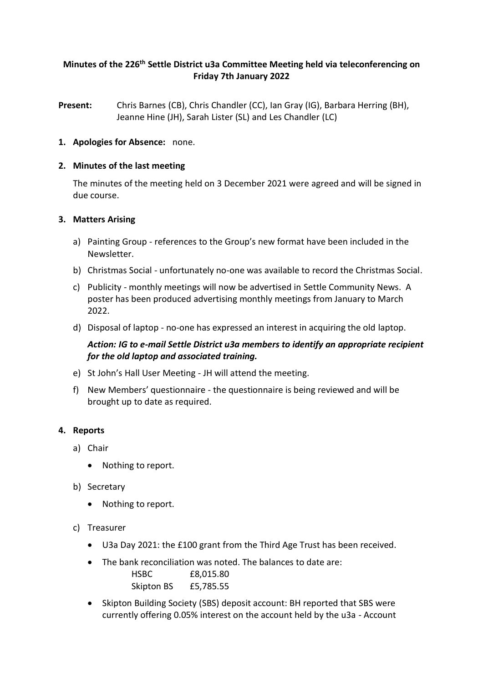# **Minutes of the 226 th Settle District u3a Committee Meeting held via teleconferencing on Friday 7th January 2022**

**Present:** Chris Barnes (CB), Chris Chandler (CC), Ian Gray (IG), Barbara Herring (BH), Jeanne Hine (JH), Sarah Lister (SL) and Les Chandler (LC)

### **1. Apologies for Absence:** none.

### **2. Minutes of the last meeting**

The minutes of the meeting held on 3 December 2021 were agreed and will be signed in due course.

### **3. Matters Arising**

- a) Painting Group references to the Group's new format have been included in the Newsletter.
- b) Christmas Social unfortunately no-one was available to record the Christmas Social.
- c) Publicity monthly meetings will now be advertised in Settle Community News. A poster has been produced advertising monthly meetings from January to March 2022.
- d) Disposal of laptop no-one has expressed an interest in acquiring the old laptop.

# *Action: IG to e-mail Settle District u3a members to identify an appropriate recipient for the old laptop and associated training.*

- e) St John's Hall User Meeting JH will attend the meeting.
- f) New Members' questionnaire the questionnaire is being reviewed and will be brought up to date as required.

#### **4. Reports**

- a) Chair
	- Nothing to report.
- b) Secretary
	- Nothing to report.
- c) Treasurer
	- U3a Day 2021: the £100 grant from the Third Age Trust has been received.

currently offering 0.05% interest on the account held by the u3a - Account

- The bank reconciliation was noted. The balances to date are: HSBC £8,015.80
- Skipton BS £5,785.55 • Skipton Building Society (SBS) deposit account: BH reported that SBS were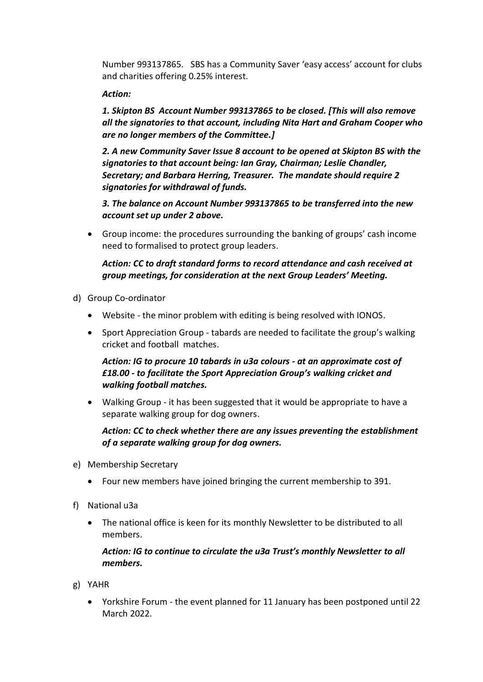Number 993137865. SBS has a Community Saver 'easy access' account for clubs and charities offering 0.25% interest.

### *Action:*

*1. Skipton BS Account Number 993137865 to be closed. [This will also remove all the signatories to that account, including Nita Hart and Graham Cooper who are no longer members of the Committee.]*

*2. A new Community Saver Issue 8 account to be opened at Skipton BS with the signatories to that account being: Ian Gray, Chairman; Leslie Chandler, Secretary; and Barbara Herring, Treasurer. The mandate should require 2 signatories for withdrawal of funds.* 

*3. The balance on Account Number 993137865 to be transferred into the new account set up under 2 above.*

• Group income: the procedures surrounding the banking of groups' cash income need to formalised to protect group leaders.

# *Action: CC to draft standard forms to record attendance and cash received at group meetings, for consideration at the next Group Leaders' Meeting.*

- d) Group Co-ordinator
	- Website the minor problem with editing is being resolved with IONOS.
	- Sport Appreciation Group tabards are needed to facilitate the group's walking cricket and football matches.

*Action: IG to procure 10 tabards in u3a colours - at an approximate cost of £18.00 - to facilitate the Sport Appreciation Group's walking cricket and walking football matches.*

• Walking Group - it has been suggested that it would be appropriate to have a separate walking group for dog owners.

*Action: CC to check whether there are any issues preventing the establishment of a separate walking group for dog owners.*

- e) Membership Secretary
	- Four new members have joined bringing the current membership to 391.
- f) National u3a
	- The national office is keen for its monthly Newsletter to be distributed to all members.

### *Action: IG to continue to circulate the u3a Trust's monthly Newsletter to all members.*

- g) YAHR
	- Yorkshire Forum the event planned for 11 January has been postponed until 22 March 2022.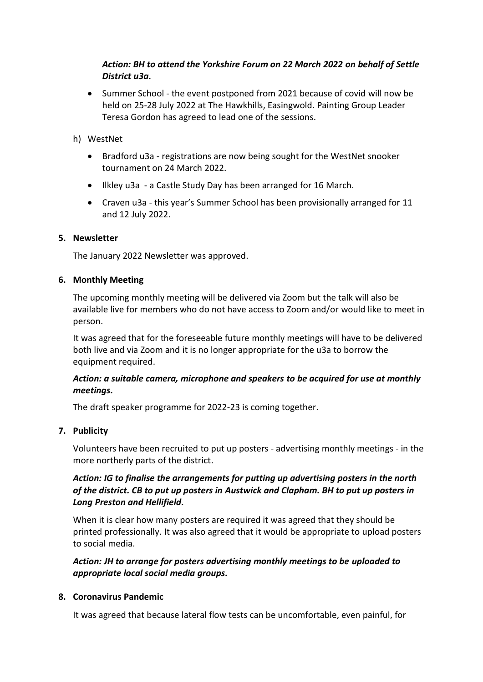# *Action: BH to attend the Yorkshire Forum on 22 March 2022 on behalf of Settle District u3a.*

• Summer School - the event postponed from 2021 because of covid will now be held on 25-28 July 2022 at The Hawkhills, Easingwold. Painting Group Leader Teresa Gordon has agreed to lead one of the sessions.

# h) WestNet

- Bradford u3a registrations are now being sought for the WestNet snooker tournament on 24 March 2022.
- Ilkley u3a a Castle Study Day has been arranged for 16 March.
- Craven u3a this year's Summer School has been provisionally arranged for 11 and 12 July 2022.

### **5. Newsletter**

The January 2022 Newsletter was approved.

### **6. Monthly Meeting**

The upcoming monthly meeting will be delivered via Zoom but the talk will also be available live for members who do not have access to Zoom and/or would like to meet in person.

It was agreed that for the foreseeable future monthly meetings will have to be delivered both live and via Zoom and it is no longer appropriate for the u3a to borrow the equipment required.

# *Action: a suitable camera, microphone and speakers to be acquired for use at monthly meetings.*

The draft speaker programme for 2022-23 is coming together.

### **7. Publicity**

Volunteers have been recruited to put up posters - advertising monthly meetings - in the more northerly parts of the district.

# *Action: IG to finalise the arrangements for putting up advertising posters in the north of the district. CB to put up posters in Austwick and Clapham. BH to put up posters in Long Preston and Hellifield.*

When it is clear how many posters are required it was agreed that they should be printed professionally. It was also agreed that it would be appropriate to upload posters to social media.

*Action: JH to arrange for posters advertising monthly meetings to be uploaded to appropriate local social media groups.*

### **8. Coronavirus Pandemic**

It was agreed that because lateral flow tests can be uncomfortable, even painful, for